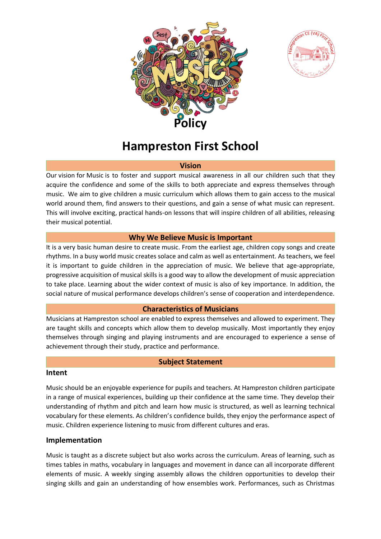



# **Hampreston First School**

#### **Vision**

Our vision for Music is to foster and support musical awareness in all our children such that they acquire the confidence and some of the skills to both appreciate and express themselves through music. We aim to give children a music curriculum which allows them to gain access to the musical world around them, find answers to their questions, and gain a sense of what music can represent. This will involve exciting, practical hands-on lessons that will inspire children of all abilities, releasing their musical potential.

### **Why We Believe Music is Important**

It is a very basic human desire to create music. From the earliest age, children copy songs and create rhythms. In a busy world music creates solace and calm as well as entertainment. As teachers, we feel it is important to guide children in the appreciation of music. We believe that age-appropriate, progressive acquisition of musical skills is a good way to allow the development of music appreciation to take place. Learning about the wider context of music is also of key importance. In addition, the social nature of musical performance develops children's sense of cooperation and interdependence.

#### **Characteristics of Musicians**

Musicians at Hampreston school are enabled to express themselves and allowed to experiment. They are taught skills and concepts which allow them to develop musically. Most importantly they enjoy themselves through singing and playing instruments and are encouraged to experience a sense of achievement through their study, practice and performance.

#### **Subject Statement**

#### **Intent**

Music should be an enjoyable experience for pupils and teachers. At Hampreston children participate in a range of musical experiences, building up their confidence at the same time. They develop their understanding of rhythm and pitch and learn how music is structured, as well as learning technical vocabulary for these elements. As children's confidence builds, they enjoy the performance aspect of music. Children experience listening to music from different cultures and eras.

# **Implementation**

Music is taught as a discrete subject but also works across the curriculum. Areas of learning, such as times tables in maths, vocabulary in languages and movement in dance can all incorporate different elements of music. A weekly singing assembly allows the children opportunities to develop their singing skills and gain an understanding of how ensembles work. Performances, such as Christmas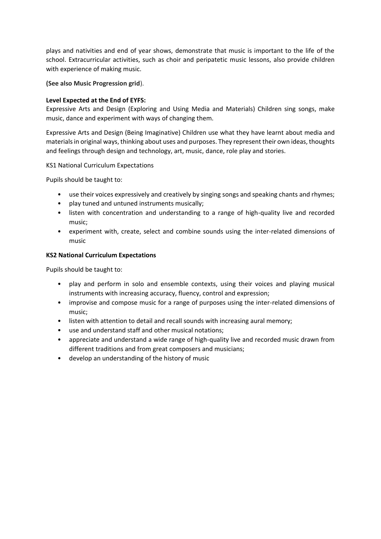plays and nativities and end of year shows, demonstrate that music is important to the life of the school. Extracurricular activities, such as choir and peripatetic music lessons, also provide children with experience of making music.

**(See also Music Progression grid**).

#### **Level Expected at the End of EYFS:**

Expressive Arts and Design (Exploring and Using Media and Materials) Children sing songs, make music, dance and experiment with ways of changing them.

Expressive Arts and Design (Being Imaginative) Children use what they have learnt about media and materials in original ways, thinking about uses and purposes. They represent their own ideas, thoughts and feelings through design and technology, art, music, dance, role play and stories.

KS1 National Curriculum Expectations

Pupils should be taught to:

- use their voices expressively and creatively by singing songs and speaking chants and rhymes;
- play tuned and untuned instruments musically;
- listen with concentration and understanding to a range of high-quality live and recorded music;
- experiment with, create, select and combine sounds using the inter-related dimensions of music

#### **KS2 National Curriculum Expectations**

Pupils should be taught to:

- play and perform in solo and ensemble contexts, using their voices and playing musical instruments with increasing accuracy, fluency, control and expression;
- improvise and compose music for a range of purposes using the inter-related dimensions of music;
- listen with attention to detail and recall sounds with increasing aural memory;
- use and understand staff and other musical notations;
- appreciate and understand a wide range of high-quality live and recorded music drawn from different traditions and from great composers and musicians;
- develop an understanding of the history of music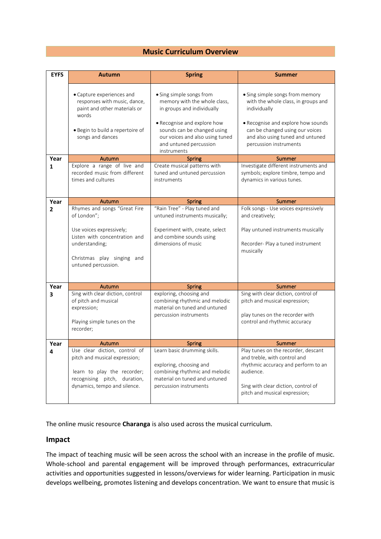#### **Music Curriculum Overview**

| <b>EYFS</b>    | <b>Autumn</b>                                                                                                                                                                   | <b>Spring</b>                                                                                                                                                                                                                    | <b>Summer</b>                                                                                                                                                                                                                 |
|----------------|---------------------------------------------------------------------------------------------------------------------------------------------------------------------------------|----------------------------------------------------------------------------------------------------------------------------------------------------------------------------------------------------------------------------------|-------------------------------------------------------------------------------------------------------------------------------------------------------------------------------------------------------------------------------|
|                | • Capture experiences and<br>responses with music, dance,<br>paint and other materials or<br>words<br>• Begin to build a repertoire of<br>songs and dances                      | • Sing simple songs from<br>memory with the whole class,<br>in groups and individually<br>• Recognise and explore how<br>sounds can be changed using<br>our voices and also using tuned<br>and untuned percussion<br>instruments | • Sing simple songs from memory<br>with the whole class, in groups and<br>individually<br>• Recognise and explore how sounds<br>can be changed using our voices<br>and also using tuned and untuned<br>percussion instruments |
| Year           | Autumn                                                                                                                                                                          | <b>Spring</b>                                                                                                                                                                                                                    | Summer                                                                                                                                                                                                                        |
| 1              | Explore a range of live and<br>recorded music from different<br>times and cultures                                                                                              | Create musical patterns with<br>tuned and untuned percussion<br>instruments                                                                                                                                                      | Investigate different instruments and<br>symbols; explore timbre, tempo and<br>dynamics in various tunes.                                                                                                                     |
| Year           | Autumn                                                                                                                                                                          | <b>Spring</b>                                                                                                                                                                                                                    | Summer                                                                                                                                                                                                                        |
| $\overline{2}$ | Rhymes and songs "Great Fire<br>of London";<br>Use voices expressively;<br>Listen with concentration and<br>understanding;<br>Christmas play singing and<br>untuned percussion. | "Rain Tree" - Play tuned and<br>untuned instruments musically;<br>Experiment with, create, select<br>and combine sounds using<br>dimensions of music                                                                             | Folk songs - Use voices expressively<br>and creatively;<br>Play untuned instruments musically<br>Recorder- Play a tuned instrument<br>musically                                                                               |
| Year           | Autumn                                                                                                                                                                          | Spring                                                                                                                                                                                                                           | Summer                                                                                                                                                                                                                        |
| 3              | Sing with clear diction, control<br>of pitch and musical<br>expression;<br>Playing simple tunes on the<br>recorder;                                                             | exploring, choosing and<br>combining rhythmic and melodic<br>material on tuned and untuned<br>percussion instruments                                                                                                             | Sing with clear diction, control of<br>pitch and musical expression;<br>play tunes on the recorder with<br>control and rhythmic accuracy                                                                                      |
| Year           | Autumn                                                                                                                                                                          | <b>Spring</b>                                                                                                                                                                                                                    | Summer                                                                                                                                                                                                                        |
| 4              | Use clear diction, control of<br>pitch and musical expression;<br>learn to play the recorder;<br>recognising pitch, duration,<br>dynamics, tempo and silence.                   | Learn basic drumming skills.<br>exploring, choosing and<br>combining rhythmic and melodic<br>material on tuned and untuned<br>percussion instruments                                                                             | Play tunes on the recorder, descant<br>and treble, with control and<br>rhythmic accuracy and perform to an<br>audience.<br>Sing with clear diction, control of<br>pitch and musical expression;                               |

The online music resource **Charanga** is also used across the musical curriculum.

#### **Impact**

The impact of teaching music will be seen across the school with an increase in the profile of music. Whole-school and parental engagement will be improved through performances, extracurricular activities and opportunities suggested in lessons/overviews for wider learning. Participation in music develops wellbeing, promotes listening and develops concentration. We want to ensure that music is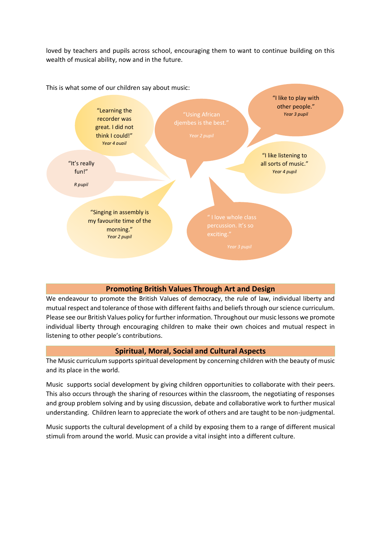loved by teachers and pupils across school, encouraging them to want to continue building on this wealth of musical ability, now and in the future.



# **Promoting British Values Through Art and Design**

We endeavour to promote the British Values of democracy, the rule of law, individual liberty and mutual respect and tolerance of those with different faiths and beliefs through our science curriculum. Please see our British Values policy for further information. Throughout our music lessons we promote individual liberty through encouraging children to make their own choices and mutual respect in listening to other people's contributions.

#### **Spiritual, Moral, Social and Cultural Aspects**

The Music curriculum supports spiritual development by concerning children with the beauty of music and its place in the world.

Music supports social development by giving children opportunities to collaborate with their peers. This also occurs through the sharing of resources within the classroom, the negotiating of responses and group problem solving and by using discussion, debate and collaborative work to further musical understanding. Children learn to appreciate the work of others and are taught to be non-judgmental.

Music supports the cultural development of a child by exposing them to a range of different musical stimuli from around the world. Music can provide a vital insight into a different culture.